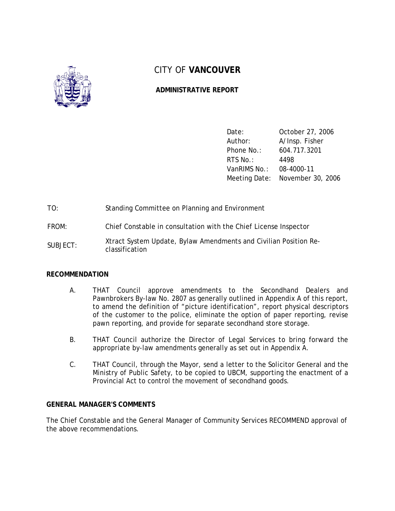

# CITY OF **VANCOUVER**

# **ADMINISTRATIVE REPORT**

| Date:        | October 27, 2006                |
|--------------|---------------------------------|
| Author:      | A/Insp. Fisher                  |
| Phone No.:   | 604.717.3201                    |
| RTS No.:     | 4498                            |
| VanRIMS No.: | 08-4000-11                      |
|              | Meeting Date: November 30, 2006 |

- TO: Standing Committee on Planning and Environment
- FROM: Chief Constable in consultation with the Chief License Inspector
- SUBJECT: Xtract System Update, Bylaw Amendments and Civilian Position Reclassification

## **RECOMMENDATION**

- A. THAT Council approve amendments to the Secondhand Dealers and Pawnbrokers By-law No. 2807 as generally outlined in Appendix A of this report, to amend the definition of "picture identification", report physical descriptors of the customer to the police, eliminate the option of paper reporting, revise pawn reporting, and provide for separate secondhand store storage.
- B. THAT Council authorize the Director of Legal Services to bring forward the appropriate by-law amendments generally as set out in Appendix A.
- C. THAT Council, through the Mayor, send a letter to the Solicitor General and the Ministry of Public Safety, to be copied to UBCM, supporting the enactment of a Provincial Act to control the movement of secondhand goods.

## **GENERAL MANAGER'S COMMENTS**

The Chief Constable and the General Manager of Community Services RECOMMEND approval of the above recommendations.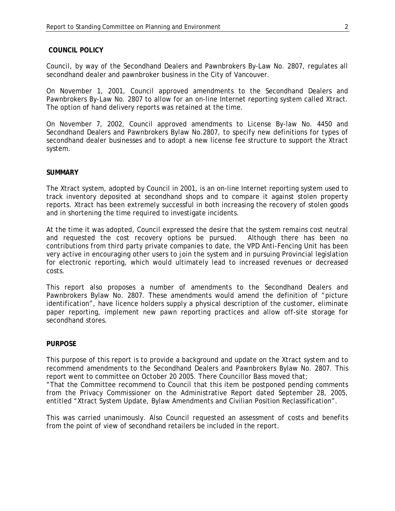#### **COUNCIL POLICY**

Council, by way of the Secondhand Dealers and Pawnbrokers By-Law No. 2807, regulates all secondhand dealer and pawnbroker business in the City of Vancouver.

On November 1, 2001, Council approved amendments to the Secondhand Dealers and Pawnbrokers By-Law No. 2807 to allow for an on-line Internet reporting system called Xtract. The option of hand delivery reports was retained at the time.

On November 7, 2002, Council approved amendments to License By-law No. 4450 and Secondhand Dealers and Pawnbrokers Bylaw No.2807, to specify new definitions for types of secondhand dealer businesses and to adopt a new license fee structure to support the Xtract system.

#### **SUMMARY**

The Xtract system, adopted by Council in 2001, is an on-line Internet reporting system used to track inventory deposited at secondhand shops and to compare it against stolen property reports. Xtract has been extremely successful in both increasing the recovery of stolen goods and in shortening the time required to investigate incidents.

At the time it was adopted, Council expressed the desire that the system remains cost neutral and requested the cost recovery options be pursued. Although there has been no contributions from third party private companies to date, the VPD Anti-Fencing Unit has been very active in encouraging other users to join the system and in pursuing Provincial legislation for electronic reporting, which would ultimately lead to increased revenues or decreased costs.

This report also proposes a number of amendments to the Secondhand Dealers and Pawnbrokers Bylaw No. 2807. These amendments would amend the definition of "picture identification", have licence holders supply a physical description of the customer, eliminate paper reporting, implement new pawn reporting practices and allow off-site storage for secondhand stores.

#### **PURPOSE**

This purpose of this report is to provide a background and update on the Xtract system and to recommend amendments to the Secondhand Dealers and Pawnbrokers Bylaw No. 2807. This report went to committee on October 20 2005. There Councillor Bass moved that; "That the Committee recommend to Council that this item be postponed pending comments from the Privacy Commissioner on the Administrative Report dated September 28, 2005, entitled "Xtract System Update, Bylaw Amendments and Civilian Position Reclassification".

This was carried unanimously. Also Council requested an assessment of costs and benefits from the point of view of secondhand retailers be included in the report.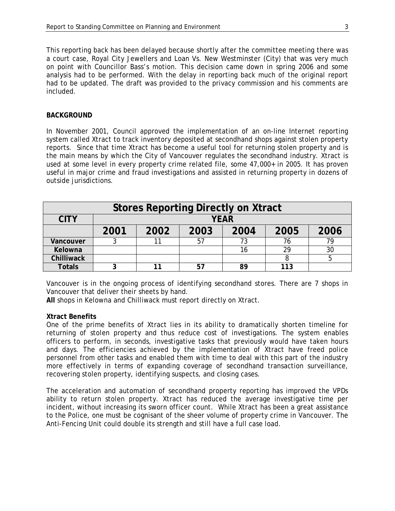This reporting back has been delayed because shortly after the committee meeting there was a court case, Royal City Jewellers and Loan Vs. New Westminster (City) that was very much on point with Councillor Bass's motion. This decision came down in spring 2006 and some analysis had to be performed. With the delay in reporting back much of the original report had to be updated. The draft was provided to the privacy commission and his comments are included.

#### **BACKGROUND**

In November 2001, Council approved the implementation of an on-line Internet reporting system called Xtract to track inventory deposited at secondhand shops against stolen property reports. Since that time Xtract has become a useful tool for returning stolen property and is the main means by which the City of Vancouver regulates the secondhand industry. Xtract is used at some level in every property crime related file, some 47,000+ in 2005. It has proven useful in major crime and fraud investigations and assisted in returning property in dozens of outside jurisdictions.

| <b>Stores Reporting Directly on Xtract</b> |             |      |      |      |      |      |
|--------------------------------------------|-------------|------|------|------|------|------|
| <b>CITY</b>                                | <b>YEAR</b> |      |      |      |      |      |
|                                            | 2001        | 2002 | 2003 | 2004 | 2005 | 2006 |
| Vancouver                                  |             |      | 57   | 73   |      | 79   |
| Kelowna                                    |             |      |      | 16   | 29   | 30   |
| Chilliwack                                 |             |      |      |      |      |      |
| <b>Totals</b>                              |             |      | 57   | 89   | 113  |      |

Vancouver is in the ongoing process of identifying secondhand stores. There are 7 shops in Vancouver that deliver their sheets by hand.

**All** shops in Kelowna and Chilliwack must report directly on Xtract.

#### **Xtract Benefits**

One of the prime benefits of Xtract lies in its ability to dramatically shorten timeline for returning of stolen property and thus reduce cost of investigations. The system enables officers to perform, in seconds, investigative tasks that previously would have taken hours and days. The efficiencies achieved by the implementation of Xtract have freed police personnel from other tasks and enabled them with time to deal with this part of the industry more effectively in terms of expanding coverage of secondhand transaction surveillance, recovering stolen property, identifying suspects, and closing cases.

The acceleration and automation of secondhand property reporting has improved the VPDs ability to return stolen property. Xtract has reduced the average investigative time per incident, without increasing its sworn officer count. While Xtract has been a great assistance to the Police, one must be cognisant of the sheer volume of property crime in Vancouver. The Anti-Fencing Unit could double its strength and still have a full case load.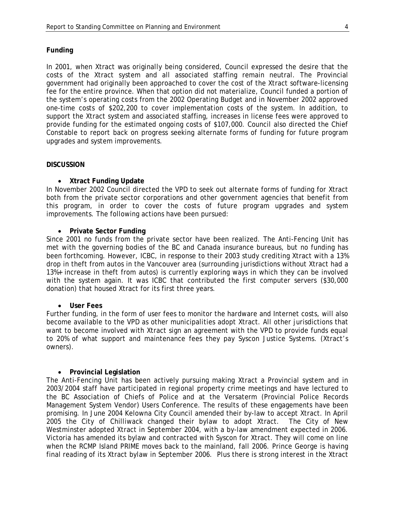## **Funding**

In 2001, when Xtract was originally being considered, Council expressed the desire that the costs of the Xtract system and all associated staffing remain neutral. The Provincial government had originally been approached to cover the cost of the Xtract software-licensing fee for the entire province. When that option did not materialize, Council funded a portion of the system's operating costs from the 2002 Operating Budget and in November 2002 approved one-time costs of \$202,200 to cover implementation costs of the system. In addition, to support the Xtract system and associated staffing, increases in license fees were approved to provide funding for the estimated ongoing costs of \$107,000. Council also directed the Chief Constable to report back on progress seeking alternate forms of funding for future program upgrades and system improvements.

#### **DISCUSSION**

#### • **Xtract Funding Update**

In November 2002 Council directed the VPD to seek out alternate forms of funding for Xtract both from the private sector corporations and other government agencies that benefit from this program, in order to cover the costs of future program upgrades and system improvements. The following actions have been pursued:

#### • **Private Sector Funding**

Since 2001 no funds from the private sector have been realized. The Anti-Fencing Unit has met with the governing bodies of the BC and Canada insurance bureaus, but no funding has been forthcoming. However, ICBC, in response to their 2003 study crediting Xtract with a 13% drop in theft from autos in the Vancouver area (surrounding jurisdictions without Xtract had a 13%+ increase in theft from autos) is currently exploring ways in which they can be involved with the system again. It was ICBC that contributed the first computer servers (\$30,000 donation) that housed Xtract for its first three years.

#### • **User Fees**

Further funding, in the form of user fees to monitor the hardware and Internet costs, will also become available to the VPD as other municipalities adopt Xtract. All other jurisdictions that want to become involved with Xtract sign an agreement with the VPD to provide funds equal to 20% of what support and maintenance fees they pay Syscon Justice Systems. (Xtract's owners).

#### • **Provincial Legislation**

The Anti-Fencing Unit has been actively pursuing making Xtract a Provincial system and in 2003/2004 staff have participated in regional property crime meetings and have lectured to the BC Association of Chiefs of Police and at the Versaterm (Provincial Police Records Management System Vendor) Users Conference. The results of these engagements have been promising. In June 2004 Kelowna City Council amended their by-law to accept Xtract. In April 2005 the City of Chilliwack changed their bylaw to adopt Xtract. The City of New Westminster adopted Xtract in September 2004, with a by-law amendment expected in 2006. Victoria has amended its bylaw and contracted with Syscon for Xtract. They will come on line when the RCMP Island PRIME moves back to the mainland, fall 2006. Prince George is having final reading of its Xtract bylaw in September 2006. Plus there is strong interest in the Xtract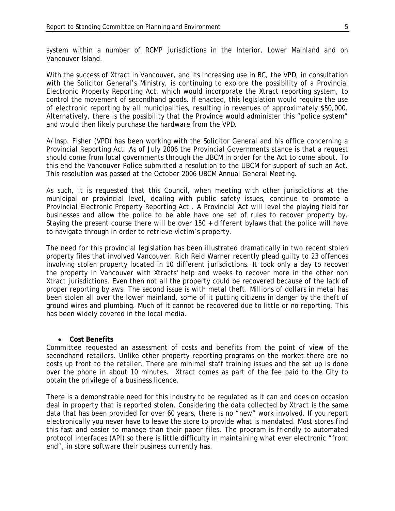system within a number of RCMP jurisdictions in the Interior, Lower Mainland and on Vancouver Island.

With the success of Xtract in Vancouver, and its increasing use in BC, the VPD, in consultation with the Solicitor General's Ministry, is continuing to explore the possibility of a Provincial Electronic Property Reporting Act, which would incorporate the Xtract reporting system, to control the movement of secondhand goods. If enacted, this legislation would require the use of electronic reporting by all municipalities, resulting in revenues of approximately \$50,000. Alternatively, there is the possibility that the Province would administer this "police system" and would then likely purchase the hardware from the VPD.

A/Insp. Fisher (VPD) has been working with the Solicitor General and his office concerning a Provincial Reporting Act. As of July 2006 the Provincial Governments stance is that a request should come from local governments through the UBCM in order for the Act to come about. To this end the Vancouver Police submitted a resolution to the UBCM for support of such an Act. This resolution was passed at the October 2006 UBCM Annual General Meeting.

As such, it is requested that this Council, when meeting with other jurisdictions at the municipal or provincial level, dealing with public safety issues, continue to promote a Provincial Electronic Property Reporting Act . A Provincial Act will level the playing field for businesses and allow the police to be able have one set of rules to recover property by. Staying the present course there will be over 150 + different bylaws that the police will have to navigate through in order to retrieve victim's property.

The need for this provincial legislation has been illustrated dramatically in two recent stolen property files that involved Vancouver. Rich Reid Warner recently plead guilty to 23 offences involving stolen property located in 10 different jurisdictions. It took only a day to recover the property in Vancouver with Xtracts' help and weeks to recover more in the other non Xtract jurisdictions. Even then not all the property could be recovered because of the lack of proper reporting bylaws. The second issue is with metal theft. Millions of dollars in metal has been stolen all over the lower mainland, some of it putting citizens in danger by the theft of ground wires and plumbing. Much of it cannot be recovered due to little or no reporting. This has been widely covered in the local media.

#### • **Cost Benefits**

Committee requested an assessment of costs and benefits from the point of view of the secondhand retailers. Unlike other property reporting programs on the market there are no costs up front to the retailer. There are minimal staff training issues and the set up is done over the phone in about 10 minutes. Xtract comes as part of the fee paid to the City to obtain the privilege of a business licence.

There is a demonstrable need for this industry to be regulated as it can and does on occasion deal in property that is reported stolen. Considering the data collected by Xtract is the same data that has been provided for over 60 years, there is no "new" work involved. If you report electronically you never have to leave the store to provide what is mandated. Most stores find this fast and easier to manage than their paper files. The program is friendly to automated protocol interfaces (API) so there is little difficulty in maintaining what ever electronic "front end", in store software their business currently has.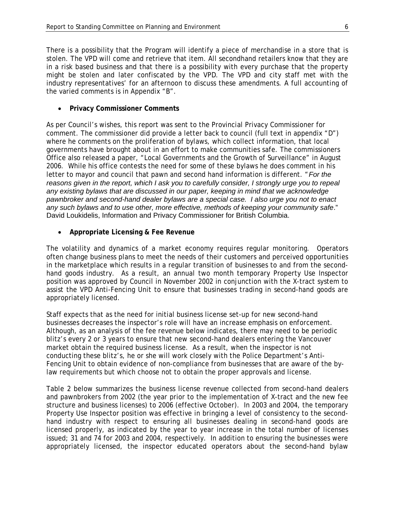There is a possibility that the Program will identify a piece of merchandise in a store that is stolen. The VPD will come and retrieve that item. All secondhand retailers know that they are in a risk based business and that there is a possibility with every purchase that the property might be stolen and later confiscated by the VPD. The VPD and city staff met with the industry representatives' for an afternoon to discuss these amendments. A full accounting of the varied comments is in Appendix "B".

• **Privacy Commissioner Comments**

As per Council's wishes, this report was sent to the Provincial Privacy Commissioner for comment. The commissioner did provide a letter back to council (full text in appendix "D") where he comments on the proliferation of bylaws, which collect information, that local governments have brought about in an effort to make communities safe. The commissioners Office also released a paper, "Local Governments and the Growth of Surveillance" in August 2006. While his office contests the need for some of these bylaws he does comment in his letter to mayor and council that pawn and second hand information is different. "*For the reasons given in the report, which I ask you to carefully consider, I strongly urge you to repeal any existing bylaws that are discussed in our paper, keeping in mind that we acknowledge pawnbroker and second-hand dealer bylaws are a special case. I also urge you not to enact any such bylaws and to use other, more effective, methods of keeping your community safe*." David Loukidelis, Information and Privacy Commissioner for British Columbia.

• **Appropriate Licensing & Fee Revenue**

The volatility and dynamics of a market economy requires regular monitoring. Operators often change business plans to meet the needs of their customers and perceived opportunities in the marketplace which results in a regular transition of businesses to and from the secondhand goods industry. As a result, an annual two month temporary Property Use Inspector position was approved by Council in November 2002 in conjunction with the X-tract system to assist the VPD Anti-Fencing Unit to ensure that businesses trading in second-hand goods are appropriately licensed.

Staff expects that as the need for initial business license set-up for new second-hand businesses decreases the inspector's role will have an increase emphasis on enforcement. Although, as an analysis of the fee revenue below indicates, there may need to be periodic blitz's every 2 or 3 years to ensure that new second-hand dealers entering the Vancouver market obtain the required business license. As a result, when the inspector is not conducting these blitz's, he or she will work closely with the Police Department's Anti-Fencing Unit to obtain evidence of non-compliance from businesses that are aware of the bylaw requirements but which choose not to obtain the proper approvals and license.

Table 2 below summarizes the business license revenue collected from second-hand dealers and pawnbrokers from 2002 (the year prior to the implementation of X-tract and the new fee structure and business licenses) to 2006 (effective October). In 2003 and 2004, the temporary Property Use Inspector position was effective in bringing a level of consistency to the secondhand industry with respect to ensuring all businesses dealing in second-hand goods are licensed properly, as indicated by the year to year increase in the total number of licenses issued; 31 and 74 for 2003 and 2004, respectively. In addition to ensuring the businesses were appropriately licensed, the inspector educated operators about the second-hand bylaw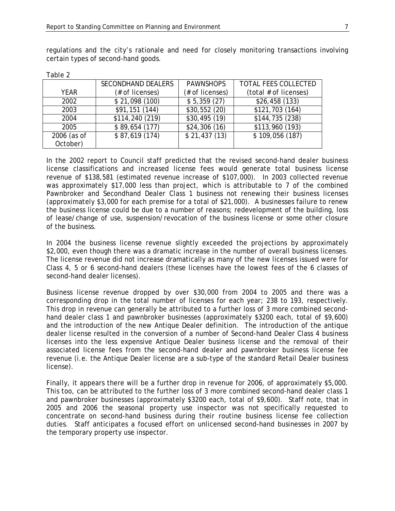| Table 2     |                           |                  |                             |
|-------------|---------------------------|------------------|-----------------------------|
|             | <b>SECONDHAND DEALERS</b> | <b>PAWNSHOPS</b> | <b>TOTAL FEES COLLECTED</b> |
| YFAR        | (# of licenses)           | (# of licenses)  | (total # of licenses)       |
| 2002        | \$21,098(100)             | \$5,359(27)      | \$26,458(133)               |
| 2003        | \$91,151 (144)            | \$30,552(20)     | \$121,703 (164)             |
| 2004        | \$114,240 (219)           | \$30,495(19)     | \$144,735 (238)             |
| 2005        | \$89,654(177)             | \$24,306(16)     | \$113,960 (193)             |
| 2006 (as of | \$87,619(174)             | \$21,437(13)     | \$109,056(187)              |
| October)    |                           |                  |                             |

regulations and the city's rationale and need for closely monitoring transactions involving certain types of second-hand goods.

| In the 2002 report to Council staff predicted that the revised second-hand dealer business      |
|-------------------------------------------------------------------------------------------------|
| license classifications and increased license fees would generate total business license        |
| revenue of \$138,581 (estimated revenue increase of \$107,000). In 2003 collected revenue       |
| was approximately \$17,000 less than project, which is attributable to 7 of the combined        |
| Pawnbroker and Secondhand Dealer Class 1 business not renewing their business licenses          |
| (approximately \$3,000 for each premise for a total of \$21,000). A businesses failure to renew |
| the business license could be due to a number of reasons; redevelopment of the building, loss   |
| of lease/change of use, suspension/revocation of the business license or some other closure     |
| of the business.                                                                                |

In 2004 the business license revenue slightly exceeded the projections by approximately \$2,000, even though there was a dramatic increase in the number of overall business licenses. The license revenue did not increase dramatically as many of the new licenses issued were for Class 4, 5 or 6 second-hand dealers (these licenses have the lowest fees of the 6 classes of second-hand dealer licenses).

Business license revenue dropped by over \$30,000 from 2004 to 2005 and there was a corresponding drop in the total number of licenses for each year; 238 to 193, respectively. This drop in revenue can generally be attributed to a further loss of 3 more combined secondhand dealer class 1 and pawnbroker businesses (approximately \$3200 each, total of \$9,600) and the introduction of the new Antique Dealer definition. The introduction of the antique dealer license resulted in the conversion of a number of Second-hand Dealer Class 4 business licenses into the less expensive Antique Dealer business license and the removal of their associated license fees from the second-hand dealer and pawnbroker business license fee revenue (i.e. the Antique Dealer license are a sub-type of the standard Retail Dealer business license).

Finally, it appears there will be a further drop in revenue for 2006, of approximately \$5,000. This too, can be attributed to the further loss of 3 more combined second-hand dealer class 1 and pawnbroker businesses (approximately \$3200 each, total of \$9,600). Staff note, that in 2005 and 2006 the seasonal property use inspector was not specifically requested to concentrate on second-hand business during their routine business license fee collection duties. Staff anticipates a focused effort on unlicensed second-hand businesses in 2007 by the temporary property use inspector.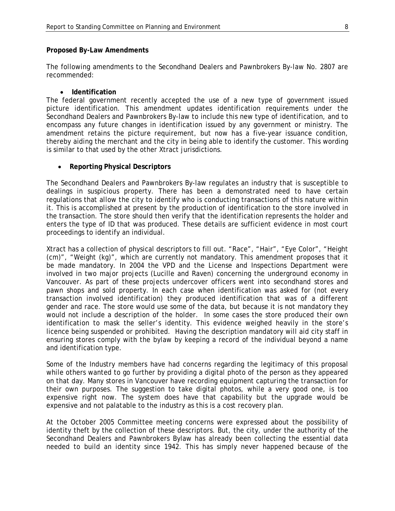#### **Proposed By-Law Amendments**

The following amendments to the Secondhand Dealers and Pawnbrokers By-law No. 2807 are recommended:

#### • **Identification**

The federal government recently accepted the use of a new type of government issued picture identification. This amendment updates identification requirements under the Secondhand Dealers and Pawnbrokers By-law to include this new type of identification, and to encompass any future changes in identification issued by any government or ministry. The amendment retains the picture requirement, but now has a five-year issuance condition, thereby aiding the merchant and the city in being able to identify the customer. This wording is similar to that used by the other Xtract jurisdictions.

#### • **Reporting Physical Descriptors**

The Secondhand Dealers and Pawnbrokers By-law regulates an industry that is susceptible to dealings in suspicious property. There has been a demonstrated need to have certain regulations that allow the city to identify who is conducting transactions of this nature within it. This is accomplished at present by the production of identification to the store involved in the transaction. The store should then verify that the identification represents the holder and enters the type of ID that was produced. These details are sufficient evidence in most court proceedings to identify an individual.

Xtract has a collection of physical descriptors to fill out. "Race", "Hair", "Eye Color", "Height (cm)", "Weight (kg)", which are currently not mandatory. This amendment proposes that it be made mandatory. In 2004 the VPD and the License and Inspections Department were involved in two major projects (Lucille and Raven) concerning the underground economy in Vancouver. As part of these projects undercover officers went into secondhand stores and pawn shops and sold property. In each case when identification was asked for (not every transaction involved identification) they produced identification that was of a different gender and race. The store would use some of the data, but because it is not mandatory they would not include a description of the holder. In some cases the store produced their own identification to mask the seller's identity. This evidence weighed heavily in the store's licence being suspended or prohibited. Having the description mandatory will aid city staff in ensuring stores comply with the bylaw by keeping a record of the individual beyond a name and identification type.

Some of the Industry members have had concerns regarding the legitimacy of this proposal while others wanted to go further by providing a digital photo of the person as they appeared on that day. Many stores in Vancouver have recording equipment capturing the transaction for their own purposes. The suggestion to take digital photos, while a very good one, is too expensive right now. The system does have that capability but the upgrade would be expensive and not palatable to the industry as this is a cost recovery plan.

At the October 2005 Committee meeting concerns were expressed about the possibility of identity theft by the collection of these descriptors. But, the city, under the authority of the Secondhand Dealers and Pawnbrokers Bylaw has already been collecting the essential data needed to build an identity since 1942. This has simply never happened because of the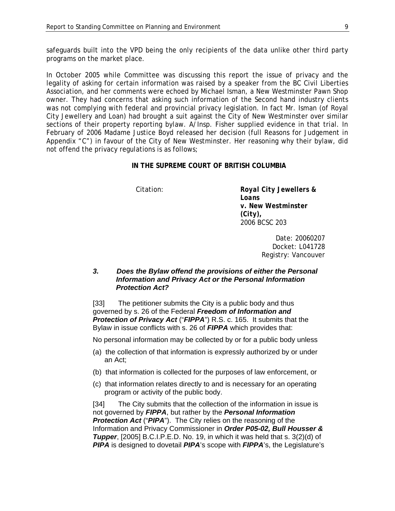safeguards built into the VPD being the only recipients of the data unlike other third party programs on the market place.

In October 2005 while Committee was discussing this report the issue of privacy and the legality of asking for certain information was raised by a speaker from the BC Civil Liberties Association, and her comments were echoed by Michael Isman, a New Westminster Pawn Shop owner. They had concerns that asking such information of the Second hand industry clients was not complying with federal and provincial privacy legislation. In fact Mr. Isman (of Royal City Jewellery and Loan) had brought a suit against the City of New Westminster over similar sections of their property reporting bylaw. A/Insp. Fisher supplied evidence in that trial. In February of 2006 Madame Justice Boyd released her decision (full Reasons for Judgement in Appendix "C") in favour of the City of New Westminster. Her reasoning why their bylaw, did not offend the privacy regulations is as follows;

#### **IN THE SUPREME COURT OF BRITISH COLUMBIA**

Citation: *Royal City Jewellers & Loans v. New Westminster (City),* 2006 BCSC 203

> Date: 20060207 Docket: L041728 Registry: Vancouver

### *3. Does the Bylaw offend the provisions of either the Personal Information and Privacy Act or the Personal Information Protection Act?*

[33] The petitioner submits the City is a public body and thus governed by s. 26 of the Federal *Freedom of Information and Protection of Privacy Act* ("*FIPPA*") R.S. c. 165. It submits that the Bylaw in issue conflicts with s. 26 of *FIPPA* which provides that:

No personal information may be collected by or for a public body unless

- (a) the collection of that information is expressly authorized by or under an Act;
- (b) that information is collected for the purposes of law enforcement, or
- (c) that information relates directly to and is necessary for an operating program or activity of the public body.

[34] The City submits that the collection of the information in issue is not governed by *FIPPA*, but rather by the *Personal Information*  **Protection Act** ("PIPA"). The City relies on the reasoning of the Information and Privacy Commissioner in *Order P05-02, Bull Housser & Tupper*, [2005] B.C.I.P.E.D. No. 19, in which it was held that s. 3(2)(d) of *PIPA* is designed to dovetail *PIPA*'s scope with *FIPPA*'s, the Legislature's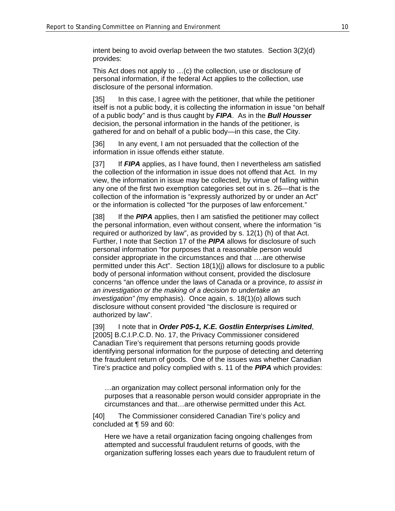intent being to avoid overlap between the two statutes. Section 3(2)(d) provides:

This Act does not apply to …(c) the collection, use or disclosure of personal information, if the federal Act applies to the collection, use disclosure of the personal information.

[35] In this case, I agree with the petitioner, that while the petitioner itself is not a public body, it is collecting the information in issue "on behalf of a public body" and is thus caught by *FIPA*. As in the *Bull Housser* decision, the personal information in the hands of the petitioner, is gathered for and on behalf of a public body—in this case, the City.

[36] In any event, I am not persuaded that the collection of the information in issue offends either statute.

[37] If *FIPA* applies, as I have found, then I nevertheless am satisfied the collection of the information in issue does not offend that Act. In my view, the information in issue may be collected, by virtue of falling within any one of the first two exemption categories set out in s. 26—that is the collection of the information is "expressly authorized by or under an Act" or the information is collected "for the purposes of law enforcement."

[38] If the **PIPA** applies, then I am satisfied the petitioner may collect the personal information, even without consent, where the information "is required or authorized by law", as provided by s. 12(1) (h) of that Act. Further, I note that Section 17 of the *PIPA* allows for disclosure of such personal information "for purposes that a reasonable person would consider appropriate in the circumstances and that ….are otherwise permitted under this Act". Section 18(1)(j) allows for disclosure to a public body of personal information without consent, provided the disclosure concerns "an offence under the laws of Canada or a province, *to assist in an investigation or the making of a decision to undertake an investigation" (*my emphasis). Once again, s. 18(1)(o) allows such disclosure without consent provided "the disclosure is required or authorized by law".

[39] I note that in *Order P05-1, K.E. Gostlin Enterprises Limited*, [2005] B.C.I.P.C.D. No. 17, the Privacy Commissioner considered Canadian Tire's requirement that persons returning goods provide identifying personal information for the purpose of detecting and deterring the fraudulent return of goods. One of the issues was whether Canadian Tire's practice and policy complied with s. 11 of the *PIPA* which provides:

…an organization may collect personal information only for the purposes that a reasonable person would consider appropriate in the circumstances and that…are otherwise permitted under this Act.

[40] The Commissioner considered Canadian Tire's policy and concluded at ¶ 59 and 60:

Here we have a retail organization facing ongoing challenges from attempted and successful fraudulent returns of goods, with the organization suffering losses each years due to fraudulent return of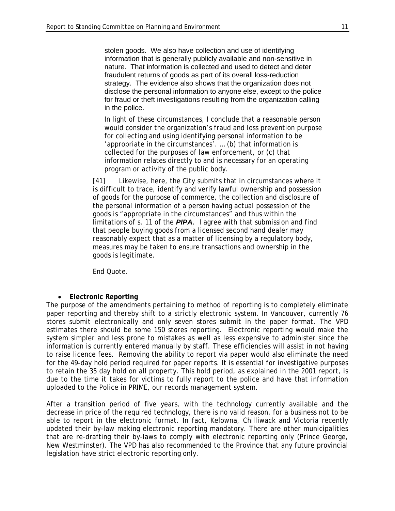stolen goods. We also have collection and use of identifying information that is generally publicly available and non-sensitive in nature. That information is collected and used to detect and deter fraudulent returns of goods as part of its overall loss-reduction strategy. The evidence also shows that the organization does not disclose the personal information to anyone else, except to the police for fraud or theft investigations resulting from the organization calling in the police.

In light of these circumstances, I conclude that a reasonable person would consider the organization's fraud and loss prevention purpose for collecting and using identifying personal information to be 'appropriate in the circumstances'. … (b) that information is collected for the purposes of law enforcement, or (c) that information relates directly to and is necessary for an operating program or activity of the public body.

[41] Likewise, here, the City submits that in circumstances where it is difficult to trace, identify and verify lawful ownership and possession of goods for the purpose of commerce, the collection and disclosure of the personal information of a person having actual possession of the goods is "appropriate in the circumstances" and thus within the limitations of s. 11 of the *PIPA*. I agree with that submission and find that people buying goods from a licensed second hand dealer may reasonably expect that as a matter of licensing by a regulatory body, measures may be taken to ensure transactions and ownership in the goods is legitimate.

End Quote.

## • **Electronic Reporting**

The purpose of the amendments pertaining to method of reporting is to completely eliminate paper reporting and thereby shift to a strictly electronic system. In Vancouver, currently 76 stores submit electronically and only seven stores submit in the paper format. The VPD estimates there should be some 150 stores reporting. Electronic reporting would make the system simpler and less prone to mistakes as well as less expensive to administer since the information is currently entered manually by staff. These efficiencies will assist in not having to raise licence fees. Removing the ability to report via paper would also eliminate the need for the 49-day hold period required for paper reports. It is essential for investigative purposes to retain the 35 day hold on all property. This hold period, as explained in the 2001 report, is due to the time it takes for victims to fully report to the police and have that information uploaded to the Police in PRIME, our records management system.

After a transition period of five years, with the technology currently available and the decrease in price of the required technology, there is no valid reason, for a business not to be able to report in the electronic format. In fact, Kelowna, Chilliwack and Victoria recently updated their by-law making electronic reporting mandatory. There are other municipalities that are re-drafting their by-laws to comply with electronic reporting only (Prince George, New Westminster). The VPD has also recommended to the Province that any future provincial legislation have strict electronic reporting only.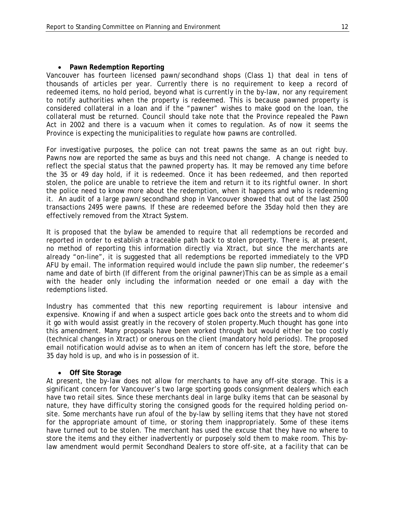#### • **Pawn Redemption Reporting**

Vancouver has fourteen licensed pawn/secondhand shops (Class 1) that deal in tens of thousands of articles per year. Currently there is no requirement to keep a record of redeemed items, no hold period, beyond what is currently in the by-law, nor any requirement to notify authorities when the property is redeemed. This is because pawned property is considered collateral in a loan and if the "pawner" wishes to make good on the loan, the collateral must be returned. Council should take note that the Province repealed the Pawn Act in 2002 and there is a vacuum when it comes to regulation. As of now it seems the Province is expecting the municipalities to regulate how pawns are controlled.

For investigative purposes, the police can not treat pawns the same as an out right buy. Pawns now are reported the same as buys and this need not change. A change is needed to reflect the special status that the pawned property has. It may be removed any time before the 35 or 49 day hold, if it is redeemed. Once it has been redeemed, and then reported stolen, the police are unable to retrieve the item and return it to its rightful owner. In short the police need to know more about the redemption, when it happens and who is redeeming it. An audit of a large pawn/secondhand shop in Vancouver showed that out of the last 2500 transactions 2495 were pawns. If these are redeemed before the 35day hold then they are effectively removed from the Xtract System.

It is proposed that the bylaw be amended to require that all redemptions be recorded and reported in order to establish a traceable path back to stolen property. There is, at present, no method of reporting this information directly via Xtract, but since the merchants are already "on-line", it is suggested that all redemptions be reported immediately to the VPD AFU by email. The information required would include the pawn slip number, the redeemer's name and date of birth (If different from the original pawner)This can be as simple as a email with the header only including the information needed or one email a day with the redemptions listed.

Industry has commented that this new reporting requirement is labour intensive and expensive. Knowing if and when a suspect article goes back onto the streets and to whom did it go with would assist greatly in the recovery of stolen property.Much thought has gone into this amendment. Many proposals have been worked through but would either be too costly (technical changes in Xtract) or onerous on the client (mandatory hold periods). The proposed email notification would advise as to when an item of concern has left the store, before the 35 day hold is up, and who is in possession of it.

#### • **Off Site Storage**

At present, the by-law does not allow for merchants to have any off-site storage. This is a significant concern for Vancouver's two large sporting goods consignment dealers which each have two retail sites. Since these merchants deal in large bulky items that can be seasonal by nature, they have difficulty storing the consigned goods for the required holding period onsite. Some merchants have run afoul of the by-law by selling items that they have not stored for the appropriate amount of time, or storing them inappropriately. Some of these items have turned out to be stolen. The merchant has used the excuse that they have no where to store the items and they either inadvertently or purposely sold them to make room. This bylaw amendment would permit Secondhand Dealers to store off-site, at a facility that can be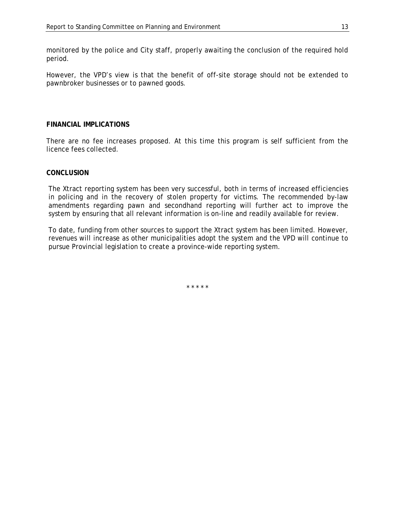monitored by the police and City staff, properly awaiting the conclusion of the required hold period.

However, the VPD's view is that the benefit of off-site storage should not be extended to pawnbroker businesses or to pawned goods.

#### **FINANCIAL IMPLICATIONS**

There are no fee increases proposed. At this time this program is self sufficient from the licence fees collected.

#### **CONCLUSION**

The Xtract reporting system has been very successful, both in terms of increased efficiencies in policing and in the recovery of stolen property for victims. The recommended by-law amendments regarding pawn and secondhand reporting will further act to improve the system by ensuring that all relevant information is on-line and readily available for review.

To date, funding from other sources to support the Xtract system has been limited. However, revenues will increase as other municipalities adopt the system and the VPD will continue to pursue Provincial legislation to create a province-wide reporting system.

\* \* \* \* \*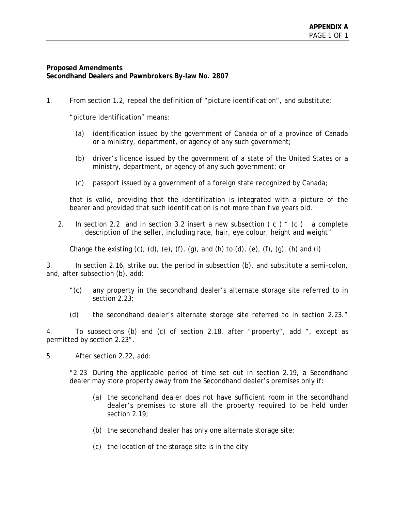## **Proposed Amendments Secondhand Dealers and Pawnbrokers By-law No. 2807**

1. From section 1.2, repeal the definition of "picture identification", and substitute:

"picture identification" means:

- (a) identification issued by the government of Canada or of a province of Canada or a ministry, department, or agency of any such government;
- (b) driver's licence issued by the government of a state of the United States or a ministry, department, or agency of any such government; or
- (c) passport issued by a government of a foreign state recognized by Canada;

that is valid, providing that the identification is integrated with a picture of the bearer and provided that such identification is not more than five years old.

2. In section 2.2 and in section 3.2 insert a new subsection  $(c)$  "  $(c)$  a complete description of the seller, including race, hair, eye colour, height and weight"

Change the existing  $(c)$ ,  $(d)$ ,  $(e)$ ,  $(f)$ ,  $(g)$ , and  $(h)$  to  $(d)$ ,  $(e)$ ,  $(f)$ ,  $(g)$ ,  $(h)$  and  $(i)$ 

3. In section 2.16, strike out the period in subsection (b), and substitute a semi-colon, and, after subsection (b), add:

- "(c) any property in the secondhand dealer's alternate storage site referred to in section 2.23;
- (d) the secondhand dealer's alternate storage site referred to in section 2.23."

4. To subsections (b) and (c) of section 2.18, after "property", add ", except as permitted by section 2.23".

5. After section 2.22, add:

"2.23 During the applicable period of time set out in section 2.19, a Secondhand dealer may store property away from the Secondhand dealer's premises only if:

- (a) the secondhand dealer does not have sufficient room in the secondhand dealer's premises to store all the property required to be held under section 2.19;
- (b) the secondhand dealer has only one alternate storage site;
- (c) the location of the storage site is in the city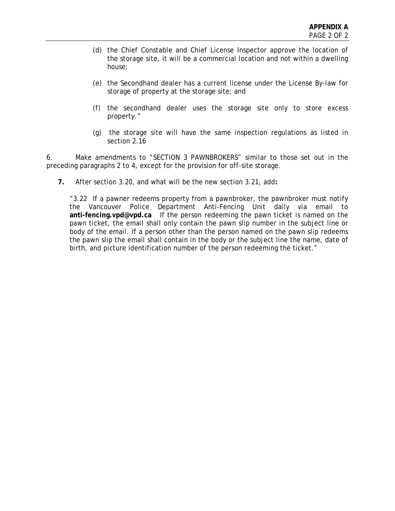- (d) the Chief Constable and Chief License Inspector approve the location of the storage site, it will be a commercial location and not within a dwelling house;
- (e) the Secondhand dealer has a current license under the License By-law for storage of property at the storage site; and
- (f) the secondhand dealer uses the storage site only to store excess property."
- (g) the storage site will have the same inspection regulations as listed in section 2.16

6. Make amendments to "SECTION 3 PAWNBROKERS" similar to those set out in the preceding paragraphs 2 to 4, except for the provision for off-site storage.

**7.** After section 3.20, and what will be the new section 3.21, add**:** 

"3.22 If a pawner redeems property from a pawnbroker, the pawnbroker must notify the Vancouver Police Department Anti-Fencing Unit daily via email to **anti-fencing.vpd@vpd.ca** If the person redeeming the pawn ticket is named on the pawn ticket, the email shall only contain the pawn slip number in the subject line or body of the email. If a person other than the person named on the pawn slip redeems the pawn slip the email shall contain in the body or the subject line the name, date of birth, and picture identification number of the person redeeming the ticket."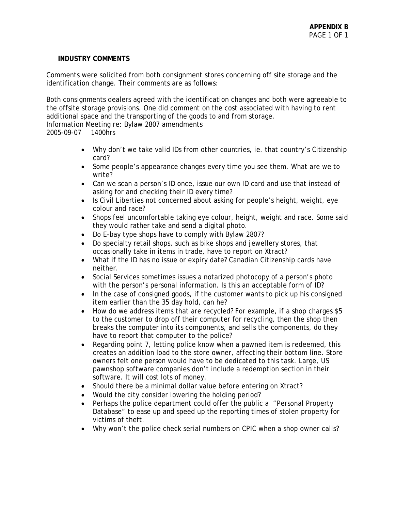## **INDUSTRY COMMENTS**

Comments were solicited from both consignment stores concerning off site storage and the identification change. Their comments are as follows:

Both consignments dealers agreed with the identification changes and both were agreeable to the offsite storage provisions. One did comment on the cost associated with having to rent additional space and the transporting of the goods to and from storage. Information Meeting re: Bylaw 2807 amendments

2005-09-07 1400hrs

- Why don't we take valid IDs from other countries, ie. that country's Citizenship card?
- Some people's appearance changes every time you see them. What are we to write?
- Can we scan a person's ID once, issue our own ID card and use that instead of asking for and checking their ID every time?
- Is Civil Liberties not concerned about asking for people's height, weight, eye colour and race?
- Shops feel uncomfortable taking eye colour, height, weight and race. Some said they would rather take and send a digital photo.
- Do E-bay type shops have to comply with Bylaw 2807?
- Do specialty retail shops, such as bike shops and jewellery stores, that occasionally take in items in trade, have to report on Xtract?
- What if the ID has no issue or expiry date? Canadian Citizenship cards have neither.
- Social Services sometimes issues a notarized photocopy of a person's photo with the person's personal information. Is this an acceptable form of ID?
- In the case of consigned goods, if the customer wants to pick up his consigned item earlier than the 35 day hold, can he?
- How do we address items that are recycled? For example, if a shop charges \$5 to the customer to drop off their computer for recycling, then the shop then breaks the computer into its components, and sells the components, do they have to report that computer to the police?
- Regarding point 7, letting police know when a pawned item is redeemed, this creates an addition load to the store owner, affecting their bottom line. Store owners felt one person would have to be dedicated to this task. Large, US pawnshop software companies don't include a redemption section in their software. It will cost lots of money.
- Should there be a minimal dollar value before entering on Xtract?
- Would the city consider lowering the holding period?
- Perhaps the police department could offer the public a "Personal Property" Database" to ease up and speed up the reporting times of stolen property for victims of theft.
- Why won't the police check serial numbers on CPIC when a shop owner calls?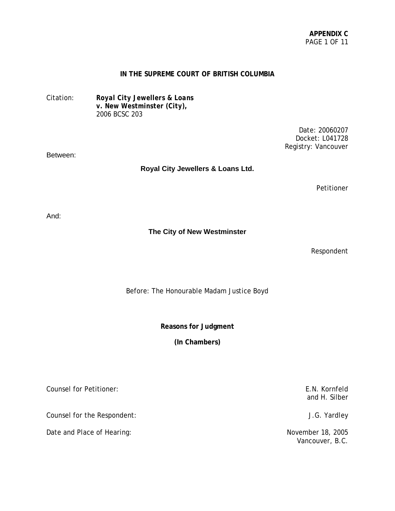#### **IN THE SUPREME COURT OF BRITISH COLUMBIA**

Citation: *Royal City Jewellers & Loans v. New Westminster (City),* 2006 BCSC 203

> Date: 20060207 Docket: L041728 Registry: Vancouver

#### Between:

**Royal City Jewellers & Loans Ltd.**

Petitioner

And:

**The City of New Westminster**

Respondent

Before: The Honourable Madam Justice Boyd

**Reasons for Judgment**

**(In Chambers)**

Counsel for Petitioner: E.N. Kornfeld

Counsel for the Respondent: J.G. Yardley

Date and Place of Hearing: November 18, 2005

and H. Silber

Vancouver, B.C.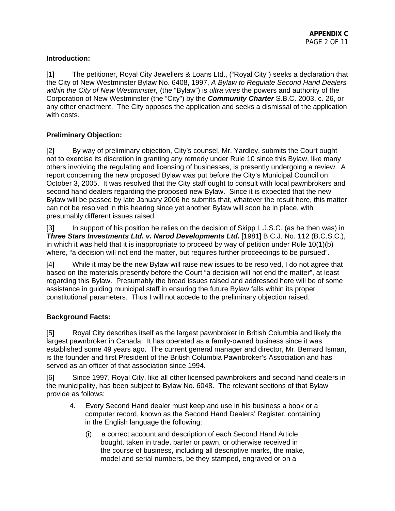# **Introduction:**

[1] The petitioner, Royal City Jewellers & Loans Ltd., ("Royal City") seeks a declaration that the City of New Westminster Bylaw No. 6408, 1997, *A Bylaw to Regulate Second Hand Dealers within the City of New Westminster,* (the "Bylaw") is *ultra vires* the powers and authority of the Corporation of New Westminster (the "City") by the *Community Charter* S.B.C. 2003, c. 26, or any other enactment. The City opposes the application and seeks a dismissal of the application with costs.

# **Preliminary Objection:**

[2] By way of preliminary objection, City's counsel, Mr. Yardley, submits the Court ought not to exercise its discretion in granting any remedy under Rule 10 since this Bylaw, like many others involving the regulating and licensing of businesses, is presently undergoing a review. A report concerning the new proposed Bylaw was put before the City's Municipal Council on October 3, 2005. It was resolved that the City staff ought to consult with local pawnbrokers and second hand dealers regarding the proposed new Bylaw. Since it is expected that the new Bylaw will be passed by late January 2006 he submits that, whatever the result here, this matter can not be resolved in this hearing since yet another Bylaw will soon be in place, with presumably different issues raised.

[3] In support of his position he relies on the decision of Skipp L.J.S.C. (as he then was) in *Three Stars Investments Ltd. v. Narod Developments Ltd.* [1981] B.C.J. No. 112 (B.C.S.C.), in which it was held that it is inappropriate to proceed by way of petition under Rule 10(1)(b) where, "a decision will not end the matter, but requires further proceedings to be pursued".

[4] While it may be the new Bylaw will raise new issues to be resolved, I do not agree that based on the materials presently before the Court "a decision will not end the matter", at least regarding this Bylaw. Presumably the broad issues raised and addressed here will be of some assistance in guiding municipal staff in ensuring the future Bylaw falls within its proper constitutional parameters. Thus I will not accede to the preliminary objection raised.

# **Background Facts:**

[5] Royal City describes itself as the largest pawnbroker in British Columbia and likely the largest pawnbroker in Canada. It has operated as a family-owned business since it was established some 49 years ago. The current general manager and director, Mr. Bernard Isman, is the founder and first President of the British Columbia Pawnbroker's Association and has served as an officer of that association since 1994.

[6] Since 1997, Royal City, like all other licensed pawnbrokers and second hand dealers in the municipality, has been subject to Bylaw No. 6048. The relevant sections of that Bylaw provide as follows:

- 4. Every Second Hand dealer must keep and use in his business a book or a computer record, known as the Second Hand Dealers' Register, containing in the English language the following:
	- (i) a correct account and description of each Second Hand Article bought, taken in trade, barter or pawn, or otherwise received in the course of business, including all descriptive marks, the make, model and serial numbers, be they stamped, engraved or on a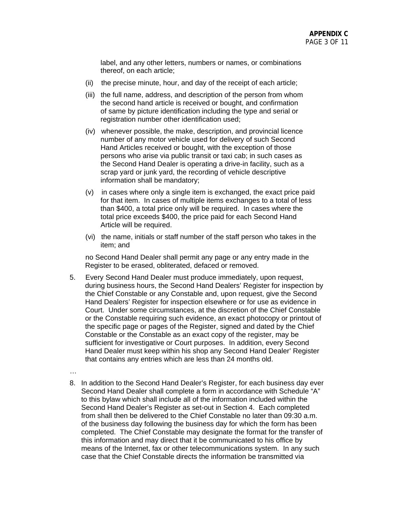label, and any other letters, numbers or names, or combinations thereof, on each article;

- (ii) the precise minute, hour, and day of the receipt of each article;
- (iii) the full name, address, and description of the person from whom the second hand article is received or bought, and confirmation of same by picture identification including the type and serial or registration number other identification used;
- (iv) whenever possible, the make, description, and provincial licence number of any motor vehicle used for delivery of such Second Hand Articles received or bought, with the exception of those persons who arise via public transit or taxi cab; in such cases as the Second Hand Dealer is operating a drive-in facility, such as a scrap yard or junk yard, the recording of vehicle descriptive information shall be mandatory;
- (v) in cases where only a single item is exchanged, the exact price paid for that item. In cases of multiple items exchanges to a total of less than \$400, a total price only will be required. In cases where the total price exceeds \$400, the price paid for each Second Hand Article will be required.
- (vi) the name, initials or staff number of the staff person who takes in the item; and

 no Second Hand Dealer shall permit any page or any entry made in the Register to be erased, obliterated, defaced or removed.

- 5. Every Second Hand Dealer must produce immediately, upon request, during business hours, the Second Hand Dealers' Register for inspection by the Chief Constable or any Constable and, upon request, give the Second Hand Dealers' Register for inspection elsewhere or for use as evidence in Court. Under some circumstances, at the discretion of the Chief Constable or the Constable requiring such evidence, an exact photocopy or printout of the specific page or pages of the Register, signed and dated by the Chief Constable or the Constable as an exact copy of the register, may be sufficient for investigative or Court purposes. In addition, every Second Hand Dealer must keep within his shop any Second Hand Dealer' Register that contains any entries which are less than 24 months old.
- …
- 8. In addition to the Second Hand Dealer's Register, for each business day ever Second Hand Dealer shall complete a form in accordance with Schedule "A" to this bylaw which shall include all of the information included within the Second Hand Dealer's Register as set-out in Section 4. Each completed from shall then be delivered to the Chief Constable no later than 09:30 a.m. of the business day following the business day for which the form has been completed. The Chief Constable may designate the format for the transfer of this information and may direct that it be communicated to his office by means of the Internet, fax or other telecommunications system. In any such case that the Chief Constable directs the information be transmitted via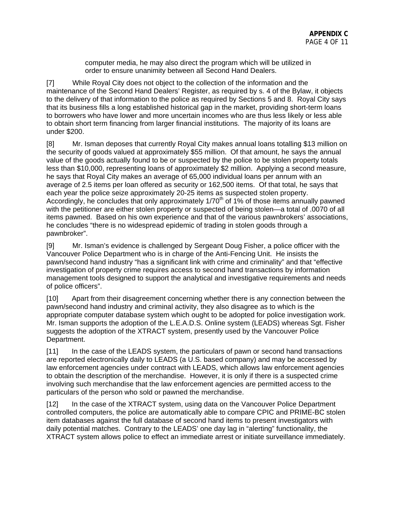computer media, he may also direct the program which will be utilized in order to ensure unanimity between all Second Hand Dealers.

[7] While Royal City does not object to the collection of the information and the maintenance of the Second Hand Dealers' Register, as required by s. 4 of the Bylaw, it objects to the delivery of that information to the police as required by Sections 5 and 8. Royal City says that its business fills a long established historical gap in the market, providing short-term loans to borrowers who have lower and more uncertain incomes who are thus less likely or less able to obtain short term financing from larger financial institutions. The majority of its loans are under \$200.

[8] Mr. Isman deposes that currently Royal City makes annual loans totalling \$13 million on the security of goods valued at approximately \$55 million. Of that amount, he says the annual value of the goods actually found to be or suspected by the police to be stolen property totals less than \$10,000, representing loans of approximately \$2 million. Applying a second measure, he says that Royal City makes an average of 65,000 individual loans per annum with an average of 2.5 items per loan offered as security or 162,500 items. Of that total, he says that each year the police seize approximately 20-25 items as suspected stolen property. Accordingly, he concludes that only approximately  $1/70<sup>th</sup>$  of 1% of those items annually pawned with the petitioner are either stolen property or suspected of being stolen—a total of .0070 of all items pawned. Based on his own experience and that of the various pawnbrokers' associations, he concludes "there is no widespread epidemic of trading in stolen goods through a pawnbroker".

[9] Mr. Isman's evidence is challenged by Sergeant Doug Fisher, a police officer with the Vancouver Police Department who is in charge of the Anti-Fencing Unit. He insists the pawn/second hand industry "has a significant link with crime and criminality" and that "effective investigation of property crime requires access to second hand transactions by information management tools designed to support the analytical and investigative requirements and needs of police officers".

[10] Apart from their disagreement concerning whether there is any connection between the pawn/second hand industry and criminal activity, they also disagree as to which is the appropriate computer database system which ought to be adopted for police investigation work. Mr. Isman supports the adoption of the L.E.A.D.S. Online system (LEADS) whereas Sgt. Fisher suggests the adoption of the XTRACT system, presently used by the Vancouver Police Department.

[11] In the case of the LEADS system, the particulars of pawn or second hand transactions are reported electronically daily to LEADS (a U.S. based company) and may be accessed by law enforcement agencies under contract with LEADS, which allows law enforcement agencies to obtain the description of the merchandise. However, it is only if there is a suspected crime involving such merchandise that the law enforcement agencies are permitted access to the particulars of the person who sold or pawned the merchandise.

[12] In the case of the XTRACT system, using data on the Vancouver Police Department controlled computers, the police are automatically able to compare CPIC and PRIME-BC stolen item databases against the full database of second hand items to present investigators with daily potential matches. Contrary to the LEADS' one day lag in "alerting" functionality, the XTRACT system allows police to effect an immediate arrest or initiate surveillance immediately.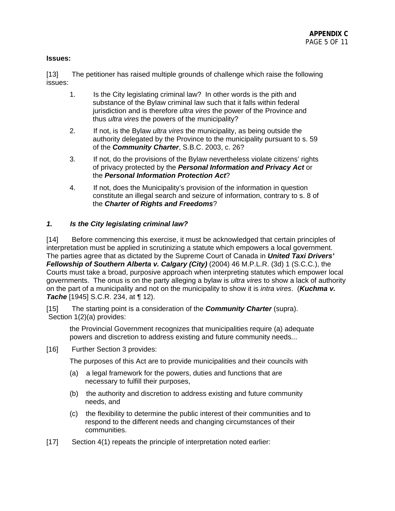## **Issues:**

[13] The petitioner has raised multiple grounds of challenge which raise the following issues:

- 1. Is the City legislating criminal law? In other words is the pith and substance of the Bylaw criminal law such that it falls within federal jurisdiction and is therefore *ultra vires* the power of the Province and thus *ultra vires* the powers of the municipality?
- 2. If not, is the Bylaw *ultra vires* the municipality, as being outside the authority delegated by the Province to the municipality pursuant to s. 59 of the *Community Charter*, S.B.C. 2003, c. 26?
- 3. If not, do the provisions of the Bylaw nevertheless violate citizens' rights of privacy protected by the *Personal Information and Privacy Act* or the *Personal Information Protection Act*?
- 4. If not, does the Municipality's provision of the information in question constitute an illegal search and seizure of information, contrary to s. 8 of the *Charter of Rights and Freedoms*?

## *1. Is the City legislating criminal law?*

[14] Before commencing this exercise, it must be acknowledged that certain principles of interpretation must be applied in scrutinizing a statute which empowers a local government. The parties agree that as dictated by the Supreme Court of Canada in *United Taxi Drivers' Fellowship of Southern Alberta v. Calgary (City)* (2004) 46 M.P.L.R. (3d) 1 (S.C.C.), the Courts must take a broad, purposive approach when interpreting statutes which empower local governments. The onus is on the party alleging a bylaw is *ultra vires* to show a lack of authority on the part of a municipality and not on the municipality to show it is *intra vires*. (*Kuchma v. Tache* [1945] S.C.R. 234, at ¶ 12).

[15] The starting point is a consideration of the *Community Charter* (supra). Section 1(2)(a) provides:

the Provincial Government recognizes that municipalities require (a) adequate powers and discretion to address existing and future community needs...

[16] Further Section 3 provides:

The purposes of this Act are to provide municipalities and their councils with

- (a) a legal framework for the powers, duties and functions that are necessary to fulfill their purposes,
- (b) the authority and discretion to address existing and future community needs, and
- (c) the flexibility to determine the public interest of their communities and to respond to the different needs and changing circumstances of their communities.
- [17] Section 4(1) repeats the principle of interpretation noted earlier: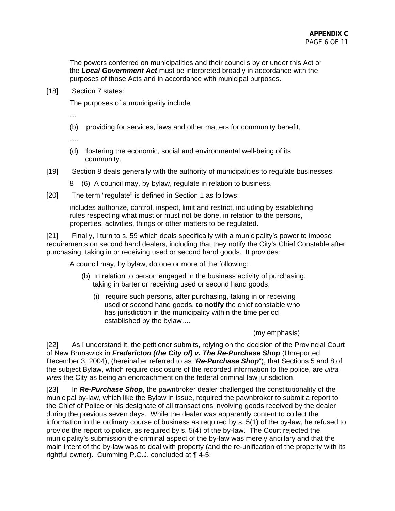The powers conferred on municipalities and their councils by or under this Act or the *Local Government Act* must be interpreted broadly in accordance with the purposes of those Acts and in accordance with municipal purposes.

[18] Section 7 states:

The purposes of a municipality include

…

(b) providing for services, laws and other matters for community benefit,

….

- (d) fostering the economic, social and environmental well-being of its community.
- [19] Section 8 deals generally with the authority of municipalities to regulate businesses:
	- 8 (6) A council may, by bylaw, regulate in relation to business.
- [20] The term "regulate" is defined in Section 1 as follows:

includes authorize, control, inspect, limit and restrict, including by establishing rules respecting what must or must not be done, in relation to the persons, properties, activities, things or other matters to be regulated.

[21] Finally, I turn to s. 59 which deals specifically with a municipality's power to impose requirements on second hand dealers, including that they notify the City's Chief Constable after purchasing, taking in or receiving used or second hand goods. It provides:

A council may, by bylaw, do one or more of the following:

- (b) In relation to person engaged in the business activity of purchasing, taking in barter or receiving used or second hand goods,
	- (i) require such persons, after purchasing, taking in or receiving used or second hand goods, **to notify** the chief constable who has jurisdiction in the municipality within the time period established by the bylaw….

#### (my emphasis)

[22] As I understand it, the petitioner submits, relying on the decision of the Provincial Court of New Brunswick in *Fredericton (the City of) v. The Re-Purchase Shop* (Unreported December 3, 2004), (hereinafter referred to as "*Re-Purchase Shop*"), that Sections 5 and 8 of the subject Bylaw, which require disclosure of the recorded information to the police, are *ultra vires* the City as being an encroachment on the federal criminal law jurisdiction.

[23] In *Re-Purchase Shop*, the pawnbroker dealer challenged the constitutionality of the municipal by-law, which like the Bylaw in issue, required the pawnbroker to submit a report to the Chief of Police or his designate of all transactions involving goods received by the dealer during the previous seven days. While the dealer was apparently content to collect the information in the ordinary course of business as required by s. 5(1) of the by-law, he refused to provide the report to police, as required by s. 5(4) of the by-law. The Court rejected the municipality's submission the criminal aspect of the by-law was merely ancillary and that the main intent of the by-law was to deal with property (and the re-unification of the property with its rightful owner). Cumming P.C.J. concluded at ¶ 4-5: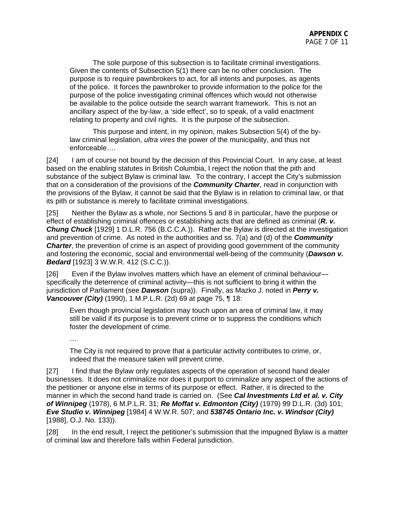The sole purpose of this subsection is to facilitate criminal investigations. Given the contents of Subsection 5(1) there can be no other conclusion. The purpose is to require pawnbrokers to act, for all intents and purposes, as agents of the police. It forces the pawnbroker to provide information to the police for the purpose of the police investigating criminal offences which would not otherwise be available to the police outside the search warrant framework. This is not an ancillary aspect of the by-law, a 'side effect', so to speak, of a valid enactment relating to property and civil rights. It is the purpose of the subsection.

This purpose and intent, in my opinion, makes Subsection 5(4) of the bylaw criminal legislation, *ultra vires* the power of the municipality, and thus not enforceable….

[24] I am of course not bound by the decision of this Provincial Court. In any case, at least based on the enabling statutes in British Columbia, I reject the notion that the pith and substance of the subject Bylaw is criminal law. To the contrary, I accept the City's submission that on a consideration of the provisions of the *Community Charter*, read in conjunction with the provisions of the Bylaw, it cannot be said that the Bylaw is in relation to criminal law, or that its pith or substance is merely to facilitate criminal investigations.

[25] Neither the Bylaw as a whole, nor Sections 5 and 8 in particular, have the purpose or effect of establishing criminal offences or establishing acts that are defined as criminal (*R. v. Chung Chuck* [1929] 1 D.L.R. 756 (B.C.C.A.)). Rather the Bylaw is directed at the investigation and prevention of crime. As noted in the authorities and ss. 7(a) and (d) of the *Community*  **Charter**, the prevention of crime is an aspect of providing good government of the community and fostering the economic, social and environmental well-being of the community (*Dawson v. Bedard* [1923] 3 W.W.R. 412 (S.C.C.)).

[26] Even if the Bylaw involves matters which have an element of criminal behaviour specifically the deterrence of criminal activity—this is not sufficient to bring it within the jurisdiction of Parliament (see *Dawson* (supra)). Finally, as Mazko J. noted in *Perry v. Vancouver (City)* (1990), 1 M.P.L.R. (2d) 69 at page 75, ¶ 18:

Even though provincial legislation may touch upon an area of criminal law, it may still be valid if its purpose is to prevent crime or to suppress the conditions which foster the development of crime.

…

The City is not required to prove that a particular activity contributes to crime, or, indeed that the measure taken will prevent crime.

[27] I find that the Bylaw only regulates aspects of the operation of second hand dealer businesses. It does not criminalize nor does it purport to criminalize any aspect of the actions of the petitioner or anyone else in terms of its purpose or effect. Rather, it is directed to the manner in which the second hand trade is carried on. (See *Cal Investments Ltd et al. v. City of Winnipeg* (1978), 6 M.P.L.R. 31; *Re Moffat v. Edmonton (City)* (1979) 99 D.L.R. (3d) 101; *Eve Studio v. Winnipeg* [1984] 4 W.W.R. 507; and *538745 Ontario Inc. v. Windsor (City)* [1988], O.J. No. 133)).

[28] In the end result, I reject the petitioner's submission that the impugned Bylaw is a matter of criminal law and therefore falls within Federal jurisdiction.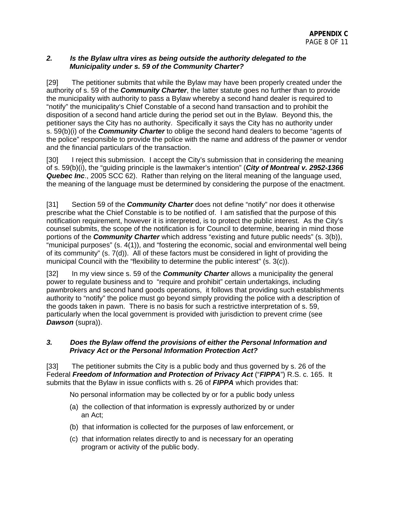## *2. Is the Bylaw ultra vires as being outside the authority delegated to the Municipality under s. 59 of the Community Charter?*

[29] The petitioner submits that while the Bylaw may have been properly created under the authority of s. 59 of the *Community Charter*, the latter statute goes no further than to provide the municipality with authority to pass a Bylaw whereby a second hand dealer is required to "notify" the municipality's Chief Constable of a second hand transaction and to prohibit the disposition of a second hand article during the period set out in the Bylaw. Beyond this, the petitioner says the City has no authority. Specifically it says the City has no authority under s. 59(b)(i) of the *Community Charter* to oblige the second hand dealers to become "agents of the police" responsible to provide the police with the name and address of the pawner or vendor and the financial particulars of the transaction.

[30] I reject this submission. I accept the City's submission that in considering the meaning of s. 59(b)(i), the "guiding principle is the lawmaker's intention" (*City of Montreal v. 2952-1366 Quebec Inc*., 2005 SCC 62). Rather than relying on the literal meaning of the language used, the meaning of the language must be determined by considering the purpose of the enactment.

[31] Section 59 of the *Community Charter* does not define "notify" nor does it otherwise prescribe what the Chief Constable is to be notified of. I am satisfied that the purpose of this notification requirement, however it is interpreted, is to protect the public interest. As the City's counsel submits, the scope of the notification is for Council to determine, bearing in mind those portions of the *Community Charter* which address "existing and future public needs" (s. 3(b)), "municipal purposes" (s. 4(1)), and "fostering the economic, social and environmental well being of its community" (s. 7(d)). All of these factors must be considered in light of providing the municipal Council with the "flexibility to determine the public interest" (s. 3(c)).

[32] In my view since s. 59 of the *Community Charter* allows a municipality the general power to regulate business and to "require and prohibit" certain undertakings, including pawnbrokers and second hand goods operations, it follows that providing such establishments authority to "notify" the police must go beyond simply providing the police with a description of the goods taken in pawn. There is no basis for such a restrictive interpretation of s. 59, particularly when the local government is provided with jurisdiction to prevent crime (see *Dawson* (supra)).

## *3. Does the Bylaw offend the provisions of either the Personal Information and Privacy Act or the Personal Information Protection Act?*

[33] The petitioner submits the City is a public body and thus governed by s. 26 of the Federal *Freedom of Information and Protection of Privacy Act* ("*FIPPA*") R.S. c. 165. It submits that the Bylaw in issue conflicts with s. 26 of *FIPPA* which provides that:

No personal information may be collected by or for a public body unless

- (a) the collection of that information is expressly authorized by or under an Act;
- (b) that information is collected for the purposes of law enforcement, or
- (c) that information relates directly to and is necessary for an operating program or activity of the public body.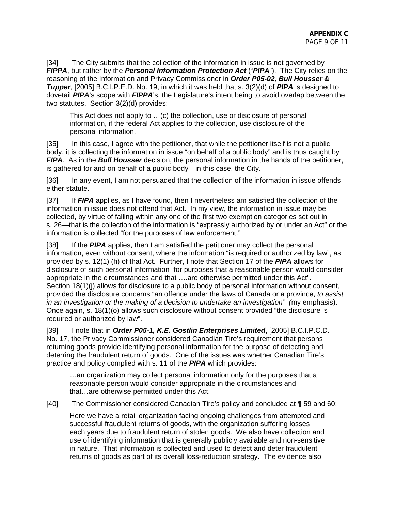[34] The City submits that the collection of the information in issue is not governed by *FIPPA*, but rather by the *Personal Information Protection Act* ("*PIPA*"). The City relies on the reasoning of the Information and Privacy Commissioner in *Order P05-02, Bull Housser & Tupper*, [2005] B.C.I.P.E.D. No. 19, in which it was held that s. 3(2)(d) of *PIPA* is designed to dovetail *PIPA*'s scope with *FIPPA*'s, the Legislature's intent being to avoid overlap between the two statutes. Section 3(2)(d) provides:

This Act does not apply to …(c) the collection, use or disclosure of personal information, if the federal Act applies to the collection, use disclosure of the personal information.

[35] In this case, I agree with the petitioner, that while the petitioner itself is not a public body, it is collecting the information in issue "on behalf of a public body" and is thus caught by *FIPA*. As in the *Bull Housser* decision, the personal information in the hands of the petitioner, is gathered for and on behalf of a public body—in this case, the City.

[36] In any event, I am not persuaded that the collection of the information in issue offends either statute.

[37] If *FIPA* applies, as I have found, then I nevertheless am satisfied the collection of the information in issue does not offend that Act. In my view, the information in issue may be collected, by virtue of falling within any one of the first two exemption categories set out in s. 26—that is the collection of the information is "expressly authorized by or under an Act" or the information is collected "for the purposes of law enforcement."

[38] If the *PIPA* applies, then I am satisfied the petitioner may collect the personal information, even without consent, where the information "is required or authorized by law", as provided by s. 12(1) (h) of that Act. Further, I note that Section 17 of the *PIPA* allows for disclosure of such personal information "for purposes that a reasonable person would consider appropriate in the circumstances and that ….are otherwise permitted under this Act". Section 18(1)(j) allows for disclosure to a public body of personal information without consent, provided the disclosure concerns "an offence under the laws of Canada or a province, *to assist in an investigation or the making of a decision to undertake an investigation" (*my emphasis). Once again, s. 18(1)(o) allows such disclosure without consent provided "the disclosure is required or authorized by law".

[39] I note that in *Order P05-1, K.E. Gostlin Enterprises Limited*, [2005] B.C.I.P.C.D. No. 17, the Privacy Commissioner considered Canadian Tire's requirement that persons returning goods provide identifying personal information for the purpose of detecting and deterring the fraudulent return of goods. One of the issues was whether Canadian Tire's practice and policy complied with s. 11 of the *PIPA* which provides:

…an organization may collect personal information only for the purposes that a reasonable person would consider appropriate in the circumstances and that…are otherwise permitted under this Act.

[40] The Commissioner considered Canadian Tire's policy and concluded at ¶ 59 and 60:

Here we have a retail organization facing ongoing challenges from attempted and successful fraudulent returns of goods, with the organization suffering losses each years due to fraudulent return of stolen goods. We also have collection and use of identifying information that is generally publicly available and non-sensitive in nature. That information is collected and used to detect and deter fraudulent returns of goods as part of its overall loss-reduction strategy. The evidence also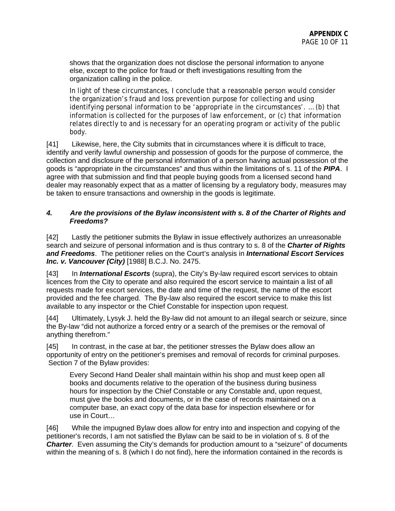shows that the organization does not disclose the personal information to anyone else, except to the police for fraud or theft investigations resulting from the organization calling in the police.

In light of these circumstances, I conclude that a reasonable person would consider the organization's fraud and loss prevention purpose for collecting and using identifying personal information to be 'appropriate in the circumstances'. … (b) that information is collected for the purposes of law enforcement, or (c) that information relates directly to and is necessary for an operating program or activity of the public body.

[41] Likewise, here, the City submits that in circumstances where it is difficult to trace, identify and verify lawful ownership and possession of goods for the purpose of commerce, the collection and disclosure of the personal information of a person having actual possession of the goods is "appropriate in the circumstances" and thus within the limitations of s. 11 of the *PIPA*. I agree with that submission and find that people buying goods from a licensed second hand dealer may reasonably expect that as a matter of licensing by a regulatory body, measures may be taken to ensure transactions and ownership in the goods is legitimate.

## *4. Are the provisions of the Bylaw inconsistent with s. 8 of the Charter of Rights and Freedoms?*

[42] Lastly the petitioner submits the Bylaw in issue effectively authorizes an unreasonable search and seizure of personal information and is thus contrary to s. 8 of the *Charter of Rights and Freedoms*. The petitioner relies on the Court's analysis in *International Escort Services Inc. v. Vancouver (City)* [1988] B.C.J. No. 2475.

[43] In **International Escorts** (supra), the City's By-law required escort services to obtain licences from the City to operate and also required the escort service to maintain a list of all requests made for escort services, the date and time of the request, the name of the escort provided and the fee charged. The By-law also required the escort service to make this list available to any inspector or the Chief Constable for inspection upon request.

[44] Ultimately, Lysyk J. held the By-law did not amount to an illegal search or seizure, since the By-law "did not authorize a forced entry or a search of the premises or the removal of anything therefrom."

[45] In contrast, in the case at bar, the petitioner stresses the Bylaw does allow an opportunity of entry on the petitioner's premises and removal of records for criminal purposes. Section 7 of the Bylaw provides:

Every Second Hand Dealer shall maintain within his shop and must keep open all books and documents relative to the operation of the business during business hours for inspection by the Chief Constable or any Constable and, upon request, must give the books and documents, or in the case of records maintained on a computer base, an exact copy of the data base for inspection elsewhere or for use in Court…

[46] While the impugned Bylaw does allow for entry into and inspection and copying of the petitioner's records, I am not satisfied the Bylaw can be said to be in violation of s. 8 of the **Charter**. Even assuming the City's demands for production amount to a "seizure" of documents within the meaning of s. 8 (which I do not find), here the information contained in the records is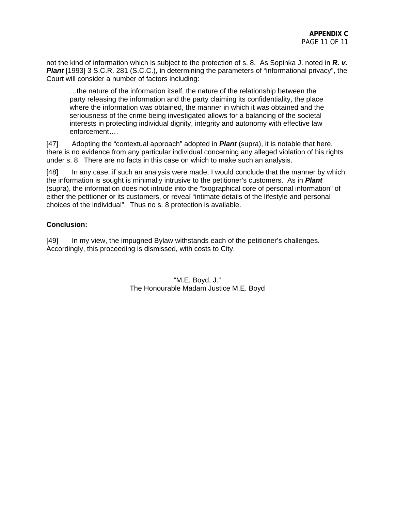not the kind of information which is subject to the protection of s. 8. As Sopinka J. noted in *R. v.*  **Plant** [1993] 3 S.C.R. 281 (S.C.C.), in determining the parameters of "informational privacy", the Court will consider a number of factors including:

…the nature of the information itself, the nature of the relationship between the party releasing the information and the party claiming its confidentiality, the place where the information was obtained, the manner in which it was obtained and the seriousness of the crime being investigated allows for a balancing of the societal interests in protecting individual dignity, integrity and autonomy with effective law enforcement….

[47] Adopting the "contextual approach" adopted in *Plant* (supra), it is notable that here, there is no evidence from any particular individual concerning any alleged violation of his rights under s. 8. There are no facts in this case on which to make such an analysis.

[48] In any case, if such an analysis were made, I would conclude that the manner by which the information is sought is minimally intrusive to the petitioner's customers. As in *Plant* (supra), the information does not intrude into the "biographical core of personal information" of either the petitioner or its customers, or reveal "intimate details of the lifestyle and personal choices of the individual". Thus no s. 8 protection is available.

## **Conclusion:**

[49] In my view, the impugned Bylaw withstands each of the petitioner's challenges. Accordingly, this proceeding is dismissed, with costs to City.

> "M.E. Boyd, J." The Honourable Madam Justice M.E. Boyd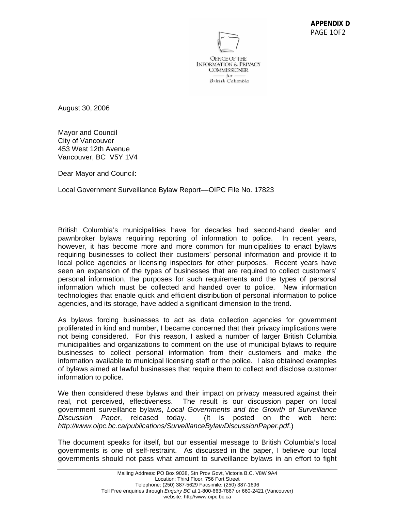

August 30, 2006

Mayor and Council City of Vancouver 453 West 12th Avenue Vancouver, BC V5Y 1V4

Dear Mayor and Council:

Local Government Surveillance Bylaw Report––OIPC File No. 17823

British Columbia's municipalities have for decades had second-hand dealer and pawnbroker bylaws requiring reporting of information to police. In recent years, however, it has become more and more common for municipalities to enact bylaws requiring businesses to collect their customers' personal information and provide it to local police agencies or licensing inspectors for other purposes. Recent years have seen an expansion of the types of businesses that are required to collect customers' personal information, the purposes for such requirements and the types of personal information which must be collected and handed over to police. New information technologies that enable quick and efficient distribution of personal information to police agencies, and its storage, have added a significant dimension to the trend.

As bylaws forcing businesses to act as data collection agencies for government proliferated in kind and number, I became concerned that their privacy implications were not being considered. For this reason, I asked a number of larger British Columbia municipalities and organizations to comment on the use of municipal bylaws to require businesses to collect personal information from their customers and make the information available to municipal licensing staff or the police. I also obtained examples of bylaws aimed at lawful businesses that require them to collect and disclose customer information to police.

We then considered these bylaws and their impact on privacy measured against their real, not perceived, effectiveness. The result is our discussion paper on local government surveillance bylaws, *Local Governments and the Growth of Surveillance Discussion Paper*, released today. (It is posted on the web here: *http://www.oipc.bc.ca/publications/SurveillanceBylawDiscussionPaper.pdf*.)

The document speaks for itself, but our essential message to British Columbia's local governments is one of self-restraint. As discussed in the paper, I believe our local governments should not pass what amount to surveillance bylaws in an effort to fight